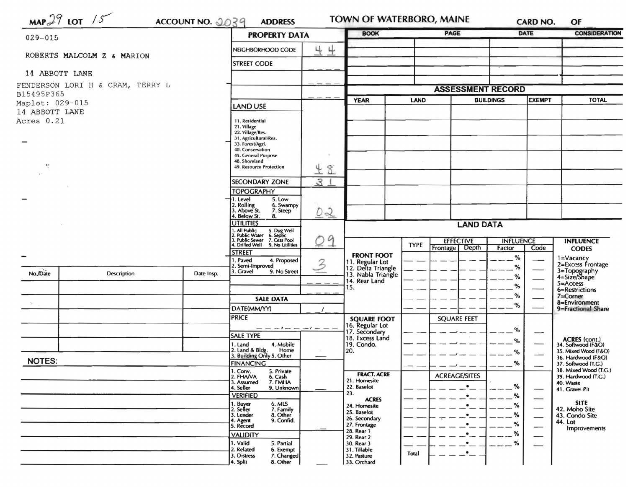|                               | $MAP29$ LOT /5<br>ACCOUNT NO. 2039 | <b>ADDRESS</b>   |                                                                                                                                            | <b>BOOK</b>      |                                       | <b>PAGE</b> |                          | <b>CARD NO.</b><br><b>DATE</b> | OF<br><b>CONSIDERATION</b>    |                                           |
|-------------------------------|------------------------------------|------------------|--------------------------------------------------------------------------------------------------------------------------------------------|------------------|---------------------------------------|-------------|--------------------------|--------------------------------|-------------------------------|-------------------------------------------|
| 029-015                       |                                    |                  | <b>PROPERTY DATA</b>                                                                                                                       |                  |                                       |             |                          |                                |                               |                                           |
|                               | ROBERTS MALCOLM Z & MARION         |                  | NEIGHBORHOOD CODE                                                                                                                          | 44               |                                       |             |                          |                                |                               |                                           |
| 14 ABBOTT LANE                |                                    |                  | <b>STREET CODE</b>                                                                                                                         |                  |                                       |             |                          |                                |                               |                                           |
|                               | FENDERSON LORI H & CRAM, TERRY L   |                  |                                                                                                                                            |                  |                                       |             | <b>ASSESSMENT RECORD</b> |                                |                               |                                           |
| B15495P365                    |                                    |                  |                                                                                                                                            |                  |                                       |             |                          |                                |                               |                                           |
| Maplot: 029-015               |                                    |                  | <b>LAND USE</b>                                                                                                                            |                  | <b>YEAR</b>                           | LAND        |                          | <b>BUILDINGS</b>               | <b>EXEMPT</b>                 | <b>TOTAL</b>                              |
| 14 ABBOTT LANE                |                                    |                  |                                                                                                                                            |                  |                                       |             |                          |                                |                               |                                           |
| Acres 0.21                    |                                    |                  | 11. Residential<br>21. Village<br>22. Village/Res.<br>31. Agricultural/Res.<br>33. Forest/Agri.<br>40. Conservation<br>45. General Purpose | $\mathfrak{r}$   |                                       |             |                          |                                |                               |                                           |
| $\mathbf{t}$ :                |                                    |                  | 48. Shoreland<br>49. Resource Protection                                                                                                   |                  |                                       |             |                          |                                |                               |                                           |
|                               |                                    |                  |                                                                                                                                            | 48               |                                       |             |                          |                                |                               |                                           |
|                               |                                    |                  | <b>SECONDARY ZONE</b>                                                                                                                      | 31               |                                       |             |                          |                                |                               |                                           |
|                               |                                    |                  | <b>TOPOGRAPHY</b>                                                                                                                          |                  |                                       |             |                          |                                |                               |                                           |
|                               |                                    |                  | 5. Low<br>I. Level<br>2. Rolling<br>6. Swampy<br>. Above St.<br>7. Steep<br>4. Below St.<br>8.                                             | 02               |                                       |             |                          |                                |                               |                                           |
|                               |                                    | <b>UTILITIES</b> |                                                                                                                                            | <b>LAND DATA</b> |                                       |             |                          |                                |                               |                                           |
|                               |                                    |                  | 1, All Public<br>2. Public Water<br>3. Public Sewer<br>5. Dug Well<br>6. Septic<br>7. Cess Pool<br>4. Drilled Well<br>9. No Utilities      | 09               |                                       | <b>TYPE</b> | <b>EFFECTIVE</b>         | <b>INFLUENCE</b>               |                               | <b>INFLUENCE</b>                          |
|                               |                                    |                  | <b>STREET</b>                                                                                                                              |                  | <b>FRONT FOOT</b>                     |             | <b>Frontage</b><br>Depth | Factor                         | Code                          | <b>CODES</b>                              |
|                               |                                    |                  | . Paved<br>4. Proposed                                                                                                                     | 3                | 11. Regular Lot<br>12. Delta Triangle |             |                          | %                              |                               | 1=Vacancy<br>2=Excess Frontage            |
| No./Date                      | Description                        | Date Insp.       | 2. Semi-Improved<br>3. Gravel<br>9. No Street                                                                                              |                  | 13. Nabla Triangle                    |             |                          | ℅                              |                               | 3=Topography<br>4=Size/Shape              |
|                               |                                    |                  |                                                                                                                                            |                  | 14. Rear Land                         |             |                          | ℅                              |                               | $5 =$ Access                              |
|                               |                                    |                  |                                                                                                                                            |                  | 15.                                   |             |                          | %                              |                               | 6=Restrictions                            |
|                               |                                    |                  | <b>SALE DATA</b>                                                                                                                           |                  |                                       |             |                          | ℅                              |                               | 7=Corner<br>8=Environment                 |
| $\mathcal{H}_{\mathcal{A}}$ . |                                    |                  | DATE(MM/YY)                                                                                                                                |                  |                                       |             |                          | %                              |                               | 9=Fractional Share                        |
|                               |                                    |                  | <b>PRICE</b>                                                                                                                               |                  | <b>SQUARE FOOT</b>                    |             | <b>SQUARE FEET</b>       |                                |                               |                                           |
|                               |                                    |                  | $- - - - - - - -$<br><b>SALE TYPE</b>                                                                                                      |                  | 16. Regular Lot<br>17. Secondary      |             |                          | %                              | —                             |                                           |
|                               |                                    |                  | 1. Land<br>4. Mobile                                                                                                                       |                  | 18. Excess Land<br>19. Condo.         |             |                          | %                              |                               | ACRES (cont.)<br>34. Softwood (F/LO)      |
|                               |                                    |                  | 2. Land & Bldg. Home<br>3. Building Only 5. Other<br>Home                                                                                  |                  | 20.                                   |             |                          | %                              |                               | 35. Mixed Wood (F&O)                      |
| <b>NOTES:</b>                 |                                    |                  | <b>FINANCING</b>                                                                                                                           |                  |                                       |             |                          | %                              |                               | 36. Hardwood (F&O)<br>37. Softwood (T.G.) |
|                               |                                    |                  | 1. Conv.<br>2. FHAVA<br>5. Private                                                                                                         |                  | <b>FRACT. ACRE</b>                    |             |                          |                                |                               | 38. Mixed Wood (T.G.)                     |
|                               |                                    |                  | 6. Cash<br>3. Assumed<br>7. FMHA                                                                                                           |                  | 21. Homesite                          |             | <b>ACREAGE/SITES</b>     |                                |                               | 39. Hardwood (T.G.)<br>40. Waste          |
|                               |                                    |                  | 4. Seller<br>9. Unknown                                                                                                                    |                  | 22. Baselot<br>23.                    |             | $\bullet$                | %                              |                               | 41. Gravel Pit                            |
|                               |                                    |                  | <b>VERIFIED</b><br>6. MLS                                                                                                                  |                  | <b>ACRES</b>                          |             | $\bullet$                | %                              |                               | <b>SITE</b>                               |
|                               |                                    |                  | 1. Buyer<br>2. Seller<br>7. Family                                                                                                         |                  | 24. Homesite<br>25. Baselot           |             |                          | $\frac{9}{6}$                  |                               | 42. Moho Site                             |
|                               |                                    |                  | 3. Lender<br>8. Other<br>4. Agent<br>9. Confid.                                                                                            |                  | 26. Secondary                         |             |                          | %                              |                               | 43. Condo Site<br>44. Lot                 |
|                               |                                    |                  | 5. Record                                                                                                                                  |                  | 27. Frontage<br>28. Rear 1            |             |                          | %                              | $\overbrace{\phantom{aaaaa}}$ | Improvements                              |
|                               |                                    |                  |                                                                                                                                            |                  |                                       |             |                          |                                |                               |                                           |
|                               |                                    |                  | <b>VALIDITY</b>                                                                                                                            |                  | 29. Rear 2                            |             |                          | %                              |                               |                                           |
|                               |                                    |                  | 1. Valid<br>5. Partial<br>2. Related<br>6. Exempt                                                                                          |                  | 30. Rear 3<br>31. Tillable            | Total       |                          | $-$ %                          |                               |                                           |